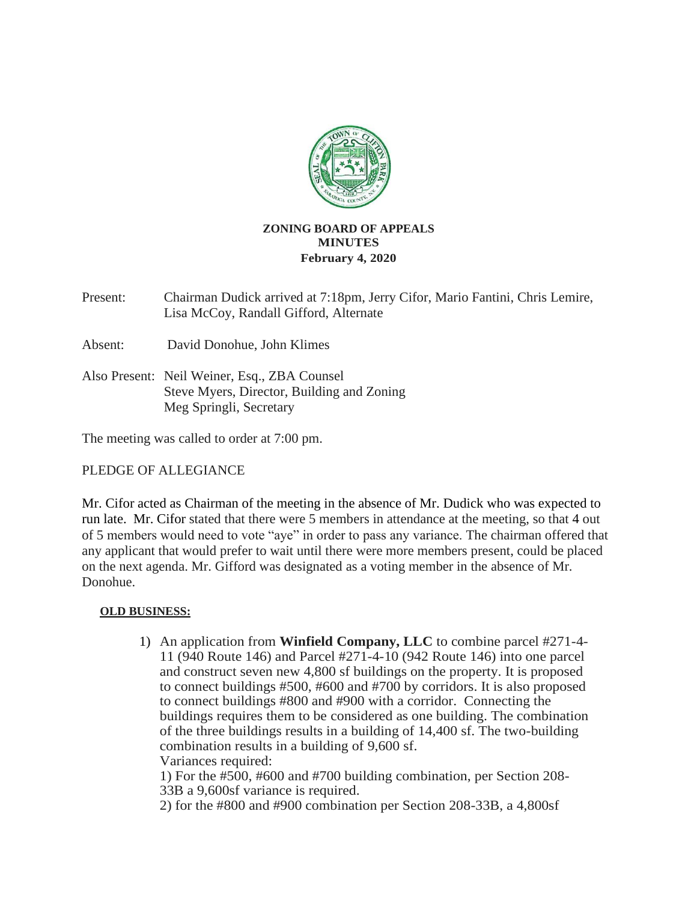

## **ZONING BOARD OF APPEALS MINUTES February 4, 2020**

Present: Chairman Dudick arrived at 7:18pm, Jerry Cifor, Mario Fantini, Chris Lemire, Lisa McCoy, Randall Gifford, Alternate

Absent: David Donohue, John Klimes

Also Present: Neil Weiner, Esq., ZBA Counsel Steve Myers, Director, Building and Zoning Meg Springli, Secretary

The meeting was called to order at 7:00 pm.

### PLEDGE OF ALLEGIANCE

Mr. Cifor acted as Chairman of the meeting in the absence of Mr. Dudick who was expected to run late. Mr. Cifor stated that there were 5 members in attendance at the meeting, so that 4 out of 5 members would need to vote "aye" in order to pass any variance. The chairman offered that any applicant that would prefer to wait until there were more members present, could be placed on the next agenda. Mr. Gifford was designated as a voting member in the absence of Mr. Donohue.

### **OLD BUSINESS:**

1) An application from **Winfield Company, LLC** to combine parcel #271-4- 11 (940 Route 146) and Parcel #271-4-10 (942 Route 146) into one parcel and construct seven new 4,800 sf buildings on the property. It is proposed to connect buildings #500, #600 and #700 by corridors. It is also proposed to connect buildings #800 and #900 with a corridor. Connecting the buildings requires them to be considered as one building. The combination of the three buildings results in a building of 14,400 sf. The two-building combination results in a building of 9,600 sf. Variances required:

1) For the #500, #600 and #700 building combination, per Section 208- 33B a 9,600sf variance is required.

2) for the #800 and #900 combination per Section 208-33B, a 4,800sf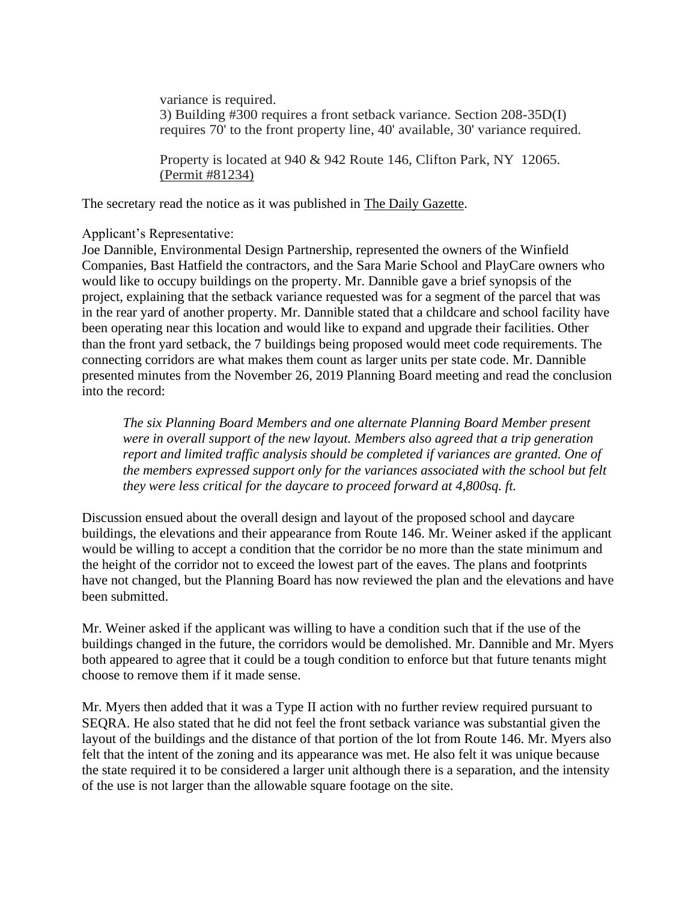variance is required. 3) Building #300 requires a front setback variance. Section 208-35D(I) requires 70' to the front property line, 40' available, 30' variance required.

Property is located at 940 & 942 Route 146, Clifton Park, NY 12065. (Permit #81234)

The secretary read the notice as it was published in The Daily Gazette.

#### Applicant's Representative:

Joe Dannible, Environmental Design Partnership, represented the owners of the Winfield Companies, Bast Hatfield the contractors, and the Sara Marie School and PlayCare owners who would like to occupy buildings on the property. Mr. Dannible gave a brief synopsis of the project, explaining that the setback variance requested was for a segment of the parcel that was in the rear yard of another property. Mr. Dannible stated that a childcare and school facility have been operating near this location and would like to expand and upgrade their facilities. Other than the front yard setback, the 7 buildings being proposed would meet code requirements. The connecting corridors are what makes them count as larger units per state code. Mr. Dannible presented minutes from the November 26, 2019 Planning Board meeting and read the conclusion into the record:

*The six Planning Board Members and one alternate Planning Board Member present were in overall support of the new layout. Members also agreed that a trip generation report and limited traffic analysis should be completed if variances are granted. One of the members expressed support only for the variances associated with the school but felt they were less critical for the daycare to proceed forward at 4,800sq. ft.*

Discussion ensued about the overall design and layout of the proposed school and daycare buildings, the elevations and their appearance from Route 146. Mr. Weiner asked if the applicant would be willing to accept a condition that the corridor be no more than the state minimum and the height of the corridor not to exceed the lowest part of the eaves. The plans and footprints have not changed, but the Planning Board has now reviewed the plan and the elevations and have been submitted.

Mr. Weiner asked if the applicant was willing to have a condition such that if the use of the buildings changed in the future, the corridors would be demolished. Mr. Dannible and Mr. Myers both appeared to agree that it could be a tough condition to enforce but that future tenants might choose to remove them if it made sense.

Mr. Myers then added that it was a Type II action with no further review required pursuant to SEQRA. He also stated that he did not feel the front setback variance was substantial given the layout of the buildings and the distance of that portion of the lot from Route 146. Mr. Myers also felt that the intent of the zoning and its appearance was met. He also felt it was unique because the state required it to be considered a larger unit although there is a separation, and the intensity of the use is not larger than the allowable square footage on the site.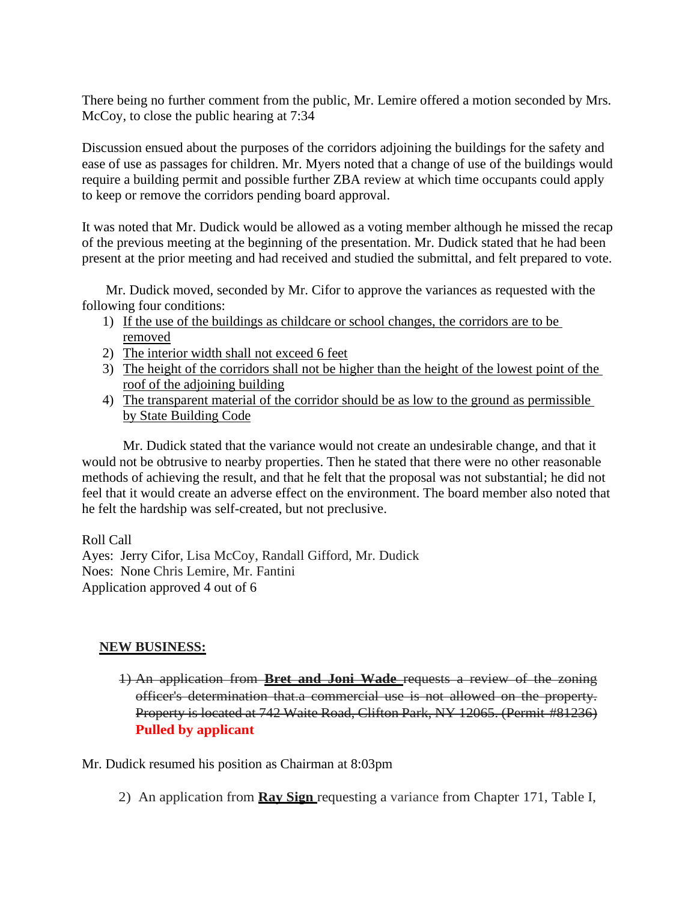There being no further comment from the public, Mr. Lemire offered a motion seconded by Mrs. McCoy, to close the public hearing at 7:34

Discussion ensued about the purposes of the corridors adjoining the buildings for the safety and ease of use as passages for children. Mr. Myers noted that a change of use of the buildings would require a building permit and possible further ZBA review at which time occupants could apply to keep or remove the corridors pending board approval.

It was noted that Mr. Dudick would be allowed as a voting member although he missed the recap of the previous meeting at the beginning of the presentation. Mr. Dudick stated that he had been present at the prior meeting and had received and studied the submittal, and felt prepared to vote.

 Mr. Dudick moved, seconded by Mr. Cifor to approve the variances as requested with the following four conditions:

- 1) If the use of the buildings as childcare or school changes, the corridors are to be removed
- 2) The interior width shall not exceed 6 feet
- 3) The height of the corridors shall not be higher than the height of the lowest point of the roof of the adjoining building
- 4) The transparent material of the corridor should be as low to the ground as permissible by State Building Code

Mr. Dudick stated that the variance would not create an undesirable change, and that it would not be obtrusive to nearby properties. Then he stated that there were no other reasonable methods of achieving the result, and that he felt that the proposal was not substantial; he did not feel that it would create an adverse effect on the environment. The board member also noted that he felt the hardship was self-created, but not preclusive.

Roll Call

Ayes: Jerry Cifor, Lisa McCoy, Randall Gifford, Mr. Dudick Noes: None Chris Lemire, Mr. Fantini Application approved 4 out of 6

# **NEW BUSINESS:**

1) An application from **Bret and Joni Wade** requests a review of the zoning officer's determination that.a commercial use is not allowed on the property. Property is located at 742 Waite Road, Clifton Park, NY 12065. (Permit #81236) **Pulled by applicant**

Mr. Dudick resumed his position as Chairman at 8:03pm

2) An application from **Ray Sign** requesting a variance from Chapter 171, Table I,